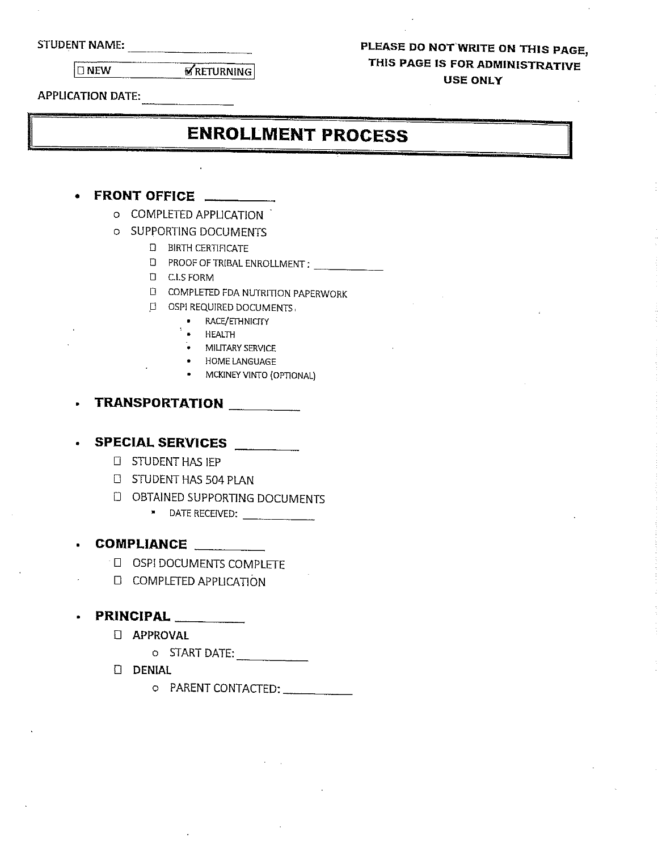STUDENT NAME:

 $\Box$  NEW

**EXRETURNING** 

## PLEASE DO NOT WRITE ON THIS PAGE, THIS PAGE IS FOR ADMINISTRATIVE USE ONLY

APPLICATION DATE:

## ENROLLMENT PROCESS

### FRONT OFFICE

- o COMPLETED APPLICATION
- **O** SUPPORTING DOCUMENTS
	- 0 BIRTH CERTIFICATE
	- $\blacksquare$  PROOF OF TRIBAL ENROLLMENT.
	- a C.LS FORM
	- a COMPLCTED FDA NUTRiTlON PAPERWORK
	- D OSPi REQUIRED DOCUMENTS.
		- RACE/ETHNICITY
		-
		- HEALTH<br>• MILITARY SERVICE • MIUTARY SERVICE
		- HOME LANGUAGE
		- MCKINEY VINTO (OPTIONAL)

TRANSPORTATION  $\bullet$ 

#### SPECIAL SERVICES \_\_\_  $\bullet$

- D STUDENT HAS 1£P
- D STUDENT HAS 504 PLAN
- D OBTAINED SUPPORTING DOCUMENTS
	- " DATE RECEIVED:

### COMPLIANCE

- D 05PI DOCUMENTS COMPLETE
- D COMPLETED APPLICATION

## PRINCIPAL

- **D** APPROVAL
	- o START DATE:
- $D$  DENIAL
	- o PARENT CONTACTED: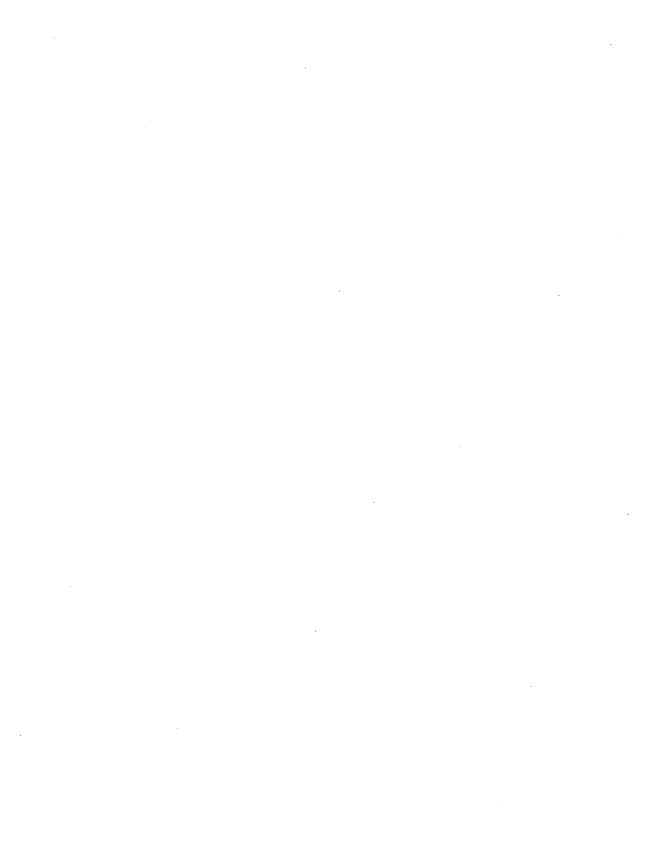$\mathcal{L}(\mathcal{A})$  and  $\mathcal{L}(\mathcal{A})$  .  $\label{eq:2.1} \frac{1}{\sqrt{2}}\left(\frac{1}{\sqrt{2}}\right)^{2} \left(\frac{1}{\sqrt{2}}\right)^{2} \left(\frac{1}{\sqrt{2}}\right)^{2} \left(\frac{1}{\sqrt{2}}\right)^{2} \left(\frac{1}{\sqrt{2}}\right)^{2} \left(\frac{1}{\sqrt{2}}\right)^{2} \left(\frac{1}{\sqrt{2}}\right)^{2} \left(\frac{1}{\sqrt{2}}\right)^{2} \left(\frac{1}{\sqrt{2}}\right)^{2} \left(\frac{1}{\sqrt{2}}\right)^{2} \left(\frac{1}{\sqrt{2}}\right)^{2} \left(\$ 

 $\mathcal{L}^{\text{max}}_{\text{max}}$ 

 $\sim 10^7$ 

 $\label{eq:2.1} \frac{1}{2} \sum_{i=1}^n \frac{1}{2} \sum_{i=1}^n \frac{1}{2} \sum_{j=1}^n \frac{1}{2} \sum_{i=1}^n \frac{1}{2} \sum_{j=1}^n \frac{1}{2} \sum_{j=1}^n \frac{1}{2} \sum_{j=1}^n \frac{1}{2} \sum_{j=1}^n \frac{1}{2} \sum_{j=1}^n \frac{1}{2} \sum_{j=1}^n \frac{1}{2} \sum_{j=1}^n \frac{1}{2} \sum_{j=1}^n \frac{1}{2} \sum_{j=1}^n \frac{$ 

 $\sim 10^{-10}$  $\label{eq:2.1} \mathcal{L}(\mathcal{L}^{\text{max}}_{\mathcal{L}}(\mathcal{L}^{\text{max}}_{\mathcal{L}})) \leq \mathcal{L}(\mathcal{L}^{\text{max}}_{\mathcal{L}}(\mathcal{L}^{\text{max}}_{\mathcal{L}}))$ 

 $\label{eq:2.1} \mathcal{L}(\mathcal{L}) = \mathcal{L}(\mathcal{L}) = \mathcal{L}(\mathcal{L}) = \mathcal{L}(\mathcal{L}) = \mathcal{L}(\mathcal{L})$  $\mathcal{L}(\mathcal{L}(\mathcal{L}))$  and  $\mathcal{L}(\mathcal{L}(\mathcal{L}))$  . The contribution of  $\mathcal{L}(\mathcal{L})$ 

 $\mathcal{L}^{\text{max}}_{\text{max}}$  and  $\mathcal{L}^{\text{max}}_{\text{max}}$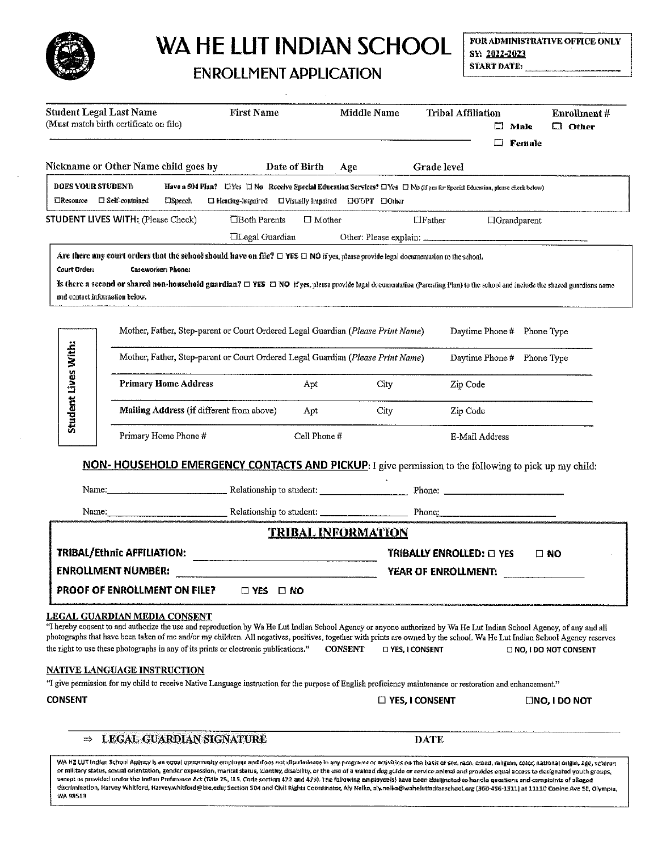

## WA HE LUT INDIAN SCHOOL

FOR ADMINISTRATIVE OFFICE ONLY SY: 2022-2023 START DATE:

## **ENROLLMENT APPLICATION**

|                                                | <b>Student Legal Last Name</b><br>(Must match birth certificate on file)                                                                                                                                                                                                                                                                                                                                                                                                                                                                                                                                                                                                       | <b>First Name</b>                                                                                                                                                                         | <b>Middle Name</b>                                                  | <b>Tribal Affiliation</b>       | Enrollment #<br>$\square$ Male<br>$\Box$ Other<br>Female |
|------------------------------------------------|--------------------------------------------------------------------------------------------------------------------------------------------------------------------------------------------------------------------------------------------------------------------------------------------------------------------------------------------------------------------------------------------------------------------------------------------------------------------------------------------------------------------------------------------------------------------------------------------------------------------------------------------------------------------------------|-------------------------------------------------------------------------------------------------------------------------------------------------------------------------------------------|---------------------------------------------------------------------|---------------------------------|----------------------------------------------------------|
|                                                | Nickname or Other Name child goes by                                                                                                                                                                                                                                                                                                                                                                                                                                                                                                                                                                                                                                           | Date of Birth                                                                                                                                                                             | Age                                                                 | Grade level                     |                                                          |
| <b>DOES YOUR STUDENT:</b><br><b>口Resource</b>  | □ Self-contained<br>⊟Specch                                                                                                                                                                                                                                                                                                                                                                                                                                                                                                                                                                                                                                                    | Have a 504 Plan? ElYes El No Receive Special Education Services? ElYes El No (if yes for Special Education, please check below)<br>□ Hearing-Inspaired □ Visually Impaired □ OTPT □ Other |                                                                     |                                 |                                                          |
|                                                | <b>STUDENT LIVES WITH: (Please Check)</b>                                                                                                                                                                                                                                                                                                                                                                                                                                                                                                                                                                                                                                      | □Both Parents<br>$\Box$ Mother<br>□Legal Guardian                                                                                                                                         |                                                                     | $\Box$ Father                   | $\Box$ Grandparent                                       |
| Court Order:<br>and contact information below. | Are there any court orders that the school should have on file? [] YES [] NO if yes, please provide legal documentation to the school.<br><b>Caseworker: Phones</b><br>Is there a second or shared non-household guardian? $\Box$ YES $\Box$ NO if yes, please provide logal documentation (Parenting Plan) to the school and include the shared guardians name                                                                                                                                                                                                                                                                                                                |                                                                                                                                                                                           |                                                                     |                                 |                                                          |
|                                                |                                                                                                                                                                                                                                                                                                                                                                                                                                                                                                                                                                                                                                                                                | Mother, Father, Step-parent or Court Ordered Legal Guardian (Please Print Name)                                                                                                           |                                                                     | Daytime Phone # Phone Type      |                                                          |
| Student Lives With:                            |                                                                                                                                                                                                                                                                                                                                                                                                                                                                                                                                                                                                                                                                                | Mother, Father, Step-parent or Court Ordered Legal Guardian (Please Print Name)                                                                                                           |                                                                     | Daytime Phone # Phone Type      |                                                          |
|                                                | <b>Primary Home Address</b>                                                                                                                                                                                                                                                                                                                                                                                                                                                                                                                                                                                                                                                    | Apt                                                                                                                                                                                       | City                                                                | Zip Code                        |                                                          |
|                                                | Mailing Address (if different from above)                                                                                                                                                                                                                                                                                                                                                                                                                                                                                                                                                                                                                                      | Apt                                                                                                                                                                                       | City                                                                | Zip Code                        |                                                          |
|                                                | Primary Home Phone #                                                                                                                                                                                                                                                                                                                                                                                                                                                                                                                                                                                                                                                           | Cell Phone#                                                                                                                                                                               |                                                                     | E-Mail Address                  |                                                          |
|                                                | <b>NON- HOUSEHOLD EMERGENCY CONTACTS AND PICKUP:</b> I give permission to the following to pick up my child:<br>Name: Name and the second contract of the second contract of the second contract of the second contract of the second contract of the second contract of the second contract of the second contract of the second contract of                                                                                                                                                                                                                                                                                                                                  | Relationship to student: Phone: Phone:                                                                                                                                                    |                                                                     |                                 |                                                          |
| Name:                                          |                                                                                                                                                                                                                                                                                                                                                                                                                                                                                                                                                                                                                                                                                |                                                                                                                                                                                           |                                                                     |                                 |                                                          |
|                                                |                                                                                                                                                                                                                                                                                                                                                                                                                                                                                                                                                                                                                                                                                |                                                                                                                                                                                           | <b>TRIBAL INFORMATION</b>                                           |                                 |                                                          |
|                                                | TRIBAL/Ethnic AFFILIATION:                                                                                                                                                                                                                                                                                                                                                                                                                                                                                                                                                                                                                                                     |                                                                                                                                                                                           |                                                                     | <b>TRIBALLY ENROLLED: C YES</b> | ⊟ NO                                                     |
|                                                | <b>ENROLLMENT NUMBER:</b><br>PROOF OF ENROLLMENT ON FILE?                                                                                                                                                                                                                                                                                                                                                                                                                                                                                                                                                                                                                      | $\square$ yes<br>⊟ NO                                                                                                                                                                     |                                                                     | YEAR OF ENROLLMENT:             |                                                          |
|                                                | LEGAL GUARDIAN MEDIA CONSENT<br>"I hereby consent to and authorize the use and reproduction by Wa He Lut Indian School Agency or anyone authorized by Wa He Lut Indian School Agency, of any and all<br>photographs that have been taken of me and/or my children. All negatives, positives, together with prints are owned by the school. Wa He Lut Indian School Agency reserves<br>the right to use these photographs in any of its prints or electronic publications."<br><b>NATIVE LANGUAGE INSTRUCTION</b><br>"I give permission for my child to receive Native Language instruction for the purpose of English proficiency maintenance or restoration and enhancement." |                                                                                                                                                                                           | <b>CONSENT</b><br><b>CI YES, I CONSENT</b><br>$\Box$ YES, I CONSENT |                                 | <b>EINO, I DO NOT CONSENT</b><br>$\Box$ NO, I DO NOT     |
| <b>CONSENT</b>                                 |                                                                                                                                                                                                                                                                                                                                                                                                                                                                                                                                                                                                                                                                                |                                                                                                                                                                                           |                                                                     |                                 |                                                          |

military status, seaual erisniation, gender expression, maritel status, identity, disability, or the use of a trained dog guide or service animal and provides equal access to designated youth groups, except as provided under the Indian Preference Act (Title 25, U.S. Code section 472 and 473). The following employeels) have been designated to handle questions and complaints of alleged discrimination, Harvey Whitford, Harvey whitford @ble.edu; Section 504 and Clvil Rights Coordinator, Aly Nelko, aly nelko@wahelatindianschaol.org (360-456-1311) at 11110 Conine Ave SE, Olympia, WA 98513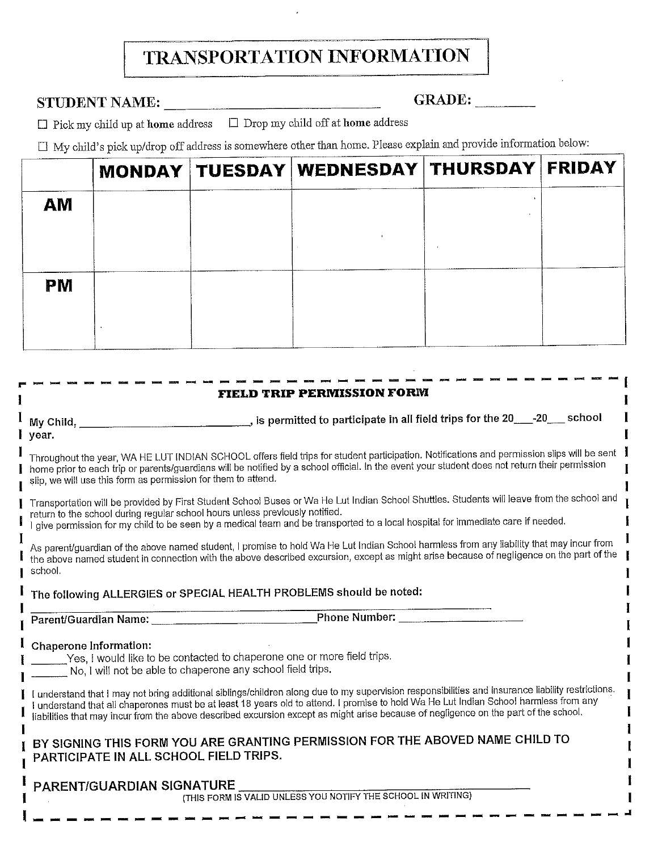# TRANSPORTATION INFORMATION

## STUDENT NAME: GRADE: GRADE:

 $\Box$  Pick my child up at home address  $\Box$  Drop my child off at home address

 $\Box$  My child's pick up/drop off address is somewhere other than home. Please explain and provide information below:

|           |  | MONDAY   TUESDAY   WEDNESDAY   THURSDAY   FRIDAY |  |
|-----------|--|--------------------------------------------------|--|
| <b>AM</b> |  |                                                  |  |
|           |  |                                                  |  |
|           |  |                                                  |  |
| <b>PM</b> |  |                                                  |  |
|           |  |                                                  |  |
|           |  |                                                  |  |

| $My$ Child, $\_\_\_\_\_\_\_\$<br>I vear.                      | _, is permitted to participate in all field trips for the 20___-20___ school                                                                                                                                                                                                                                                                                                                                                         |
|---------------------------------------------------------------|--------------------------------------------------------------------------------------------------------------------------------------------------------------------------------------------------------------------------------------------------------------------------------------------------------------------------------------------------------------------------------------------------------------------------------------|
| slip, we will use this form as permission for them to attend. | Throughout the year, WA HE LUT INDIAN SCHOOL offers field trips for student participation. Notifications and permission slips will be sent<br>home prior to each trip or parents/guardians will be notified by a school official. In the event your student does not return their permission                                                                                                                                         |
|                                                               | Transportation will be provided by First Student School Buses or Wa He Lut Indian School Shuttles. Students will leave from the school and<br>return to the school during regular school hours unless previously notified.<br>I give permission for my child to be seen by a medical team and be transported to a local hospital for immediate care if needed.                                                                       |
| school.                                                       | As parent/guardian of the above named student, I promise to hold Wa He Lut Indian School harmless from any liability that may incur from<br>the above named student in connection with the above described excursion, except as might arise because of negligence on the part of the                                                                                                                                                 |
|                                                               | The following ALLERGIES or SPECIAL HEALTH PROBLEMS should be noted:                                                                                                                                                                                                                                                                                                                                                                  |
|                                                               | Phone Number: _______________________                                                                                                                                                                                                                                                                                                                                                                                                |
| <b>Chaperone Information:</b>                                 | Yes, I would like to be contacted to chaperone one or more field trips.<br>No, I will not be able to chaperone any school field trips.                                                                                                                                                                                                                                                                                               |
|                                                               | │ I understand that I may not bring additional siblings/children along due to my supervision responsibilities and insurance liability restrictions.<br>I understand that all chaperones must be at least 18 years old to attend. I promise to hold Wa He Lut Indian School harmless from any<br>liabilities that may incur from the above described excursion except as might arise because of negligence on the part of the school. |
|                                                               | BY SIGNING THIS FORM YOU ARE GRANTING PERMISSION FOR THE ABOVED NAME CHILD TO<br>PARTICIPATE IN ALL SCHOOL FIELD TRIPS.                                                                                                                                                                                                                                                                                                              |
| PARENT/GUARDIAN SIGNATURE                                     |                                                                                                                                                                                                                                                                                                                                                                                                                                      |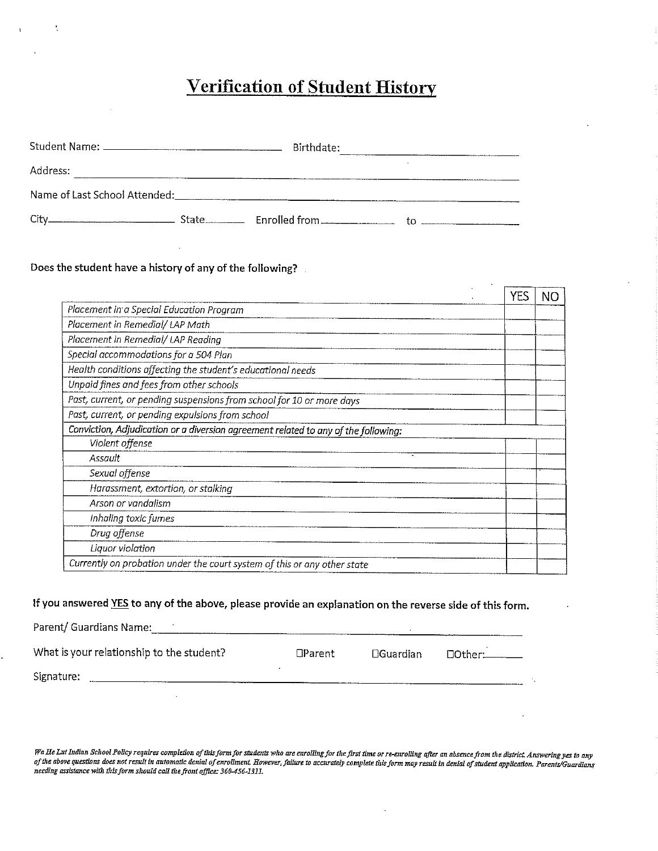## Verification of Student History

|          | Birthdate: |                                                                                                                                                                                                                                                                                                                                              |
|----------|------------|----------------------------------------------------------------------------------------------------------------------------------------------------------------------------------------------------------------------------------------------------------------------------------------------------------------------------------------------|
| Address: |            |                                                                                                                                                                                                                                                                                                                                              |
|          |            |                                                                                                                                                                                                                                                                                                                                              |
|          |            | $\mathsf{to}$ $\ldots$ $\ldots$ $\ldots$ $\ldots$ $\ldots$ $\ldots$ $\ldots$ $\ldots$ $\ldots$ $\ldots$ $\ldots$ $\ldots$ $\ldots$ $\ldots$ $\ldots$ $\ldots$ $\ldots$ $\ldots$ $\ldots$ $\ldots$ $\ldots$ $\ldots$ $\ldots$ $\ldots$ $\ldots$ $\ldots$ $\ldots$ $\ldots$ $\ldots$ $\ldots$ $\ldots$ $\ldots$ $\ldots$ $\ldots$ $\ldots$ $\$ |

Does the student have a history of any of the following?

|                                                                                    | YES | NC |
|------------------------------------------------------------------------------------|-----|----|
| Placement in a Special Education Program                                           |     |    |
| Placement in Remedial/LAP Math                                                     |     |    |
| Placement in Remedial/ LAP Reading                                                 |     |    |
| Special accommodations for a 504 Plan                                              |     |    |
| Health conditions affecting the student's educational needs                        |     |    |
| Unpaid fines and fees from other schools                                           |     |    |
| Past, current, or pending suspensions from school for 10 or more days              |     |    |
| Past, current, or pending expulsions from school                                   |     |    |
| Conviction, Adjudication or a diversion agreement related to any of the following: |     |    |
| Violent offense                                                                    |     |    |
| Assault                                                                            |     |    |
| Sexual offense                                                                     |     |    |
| Harassment, extortion, or stalking                                                 |     |    |
| Arson or vandalism                                                                 |     |    |
| Inhaling toxic fumes                                                               |     |    |
| Drug offense                                                                       |     |    |
| Liquor violation                                                                   |     |    |
| Currently on probation under the court system of this or any other state           |     |    |

## If you answered YES to any of the above, please provide an explanation on the reverse side of this form.

| Parent/ Guardians Name:                   |               |                 |              |
|-------------------------------------------|---------------|-----------------|--------------|
| What is your relationship to the student? | $\Box$ Parent | $\Box$ Guardian | $\Box$ Other |
| Signature:                                |               |                 |              |

wa He Lut Indian School Policy requires completion of this form for students who are enrolling for the or re-enrolling after an absence from the district. Answering yes to any of the doove questions does not result in altomatic dendt of enfollment. However, failure to accurately complete this form may result in denial of student application. Parents/Guardian<br>needing assistance with this form sh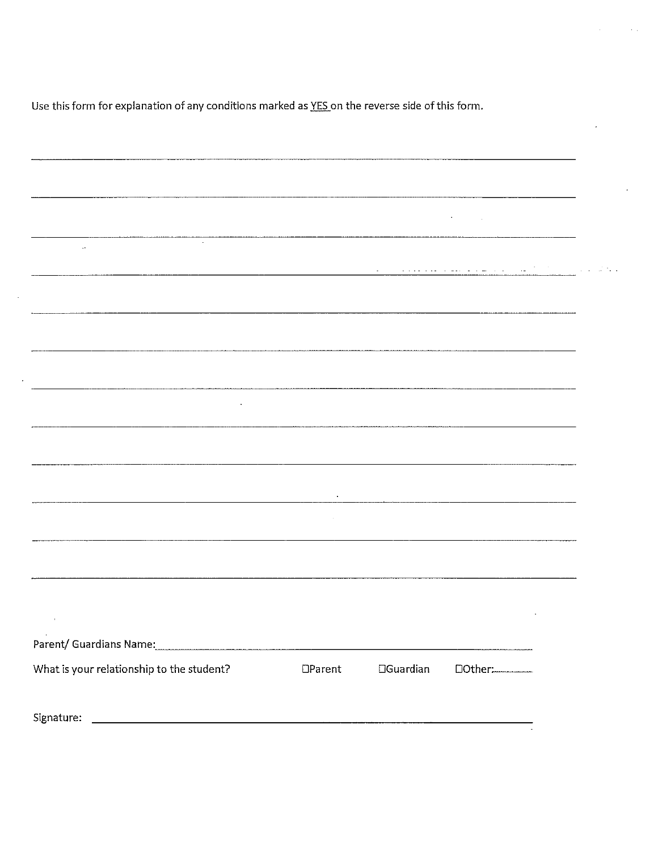Use this form for explanation of any conditions marked as YES on the reverse side of this form.

 $\ddot{\phantom{1}}$ 

 $\mathcal{L}_{\rm{max}}$ 

|                                           |                             |           | and the company of                                                                |  |
|-------------------------------------------|-----------------------------|-----------|-----------------------------------------------------------------------------------|--|
| $\sim 10^{-1}$<br>$\cdot$                 |                             |           |                                                                                   |  |
|                                           |                             |           | فالأساء والمرادي والمنادي الأراحية والمساوية والمساوية والمتحدث والمنادي والمناور |  |
|                                           |                             |           |                                                                                   |  |
|                                           |                             |           |                                                                                   |  |
|                                           |                             |           |                                                                                   |  |
|                                           |                             |           |                                                                                   |  |
|                                           |                             |           |                                                                                   |  |
| and the state of the state                |                             |           |                                                                                   |  |
|                                           |                             |           |                                                                                   |  |
|                                           |                             |           |                                                                                   |  |
|                                           |                             |           |                                                                                   |  |
|                                           | $\sim 10^{-11}$             |           |                                                                                   |  |
|                                           | $\sim 10^{11}$ km s $^{-1}$ |           |                                                                                   |  |
|                                           |                             |           |                                                                                   |  |
|                                           |                             |           |                                                                                   |  |
|                                           |                             |           |                                                                                   |  |
|                                           |                             |           | $\epsilon$                                                                        |  |
|                                           |                             |           |                                                                                   |  |
| What is your relationship to the student? | <b>OParent</b>              | □Guardian | <b>DOther:</b>                                                                    |  |
|                                           |                             |           |                                                                                   |  |
|                                           |                             |           |                                                                                   |  |
|                                           |                             |           |                                                                                   |  |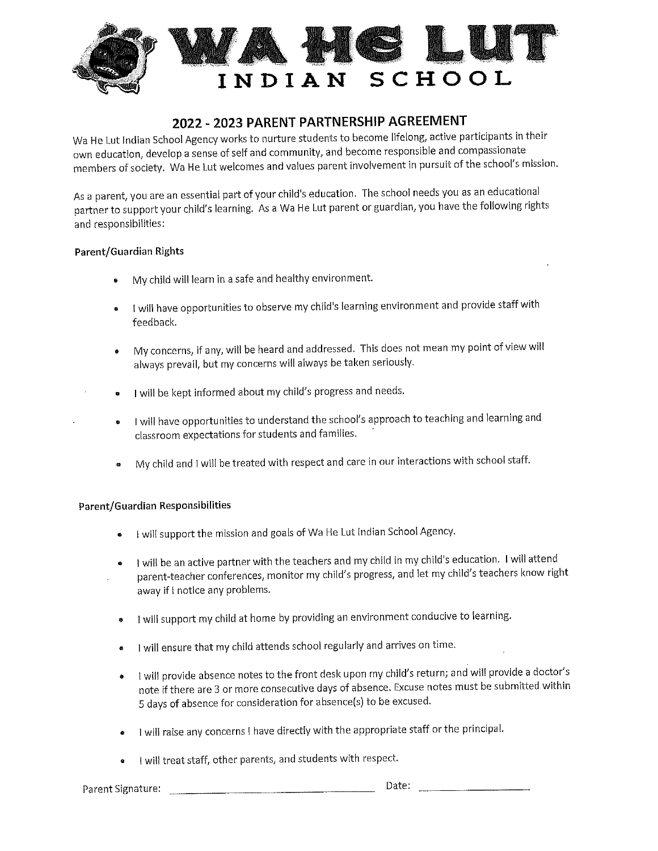

## 2022 - 2023 PARENT PARTNERSHIP AGREEMENT

Wa He Lut Indian School Agency works to nurture students to become lifelong, active participants in their own education, develop a sense of self and community, and become responsible and compassionate members of society. Wa He lut welcomes and values parent involvement in pursuit of the school's mission.

As a parent, you are an essential part of your child's education. The school needs you as an educational partner to support your child's learning. As a Wa He Lut parent or guardian, you have the following rights and responsibilities:

#### Parent/Guardian Rights

- » My child will learn in a safe and healthy environment.
- I will have opportunities to observe my child's learning environment and provide staff with feedback.
- My concerns, if any, will be heard and addressed. This does not mean my point of view will always prevail, but my concerns will aiways be taken seriously.
- I will be kept informed about my child's progress and needs.
- I will have opportunities to understand the school's approach to teaching and learning and classroom expectations for students and families.
- ® My child and 1 wi!l be treated with respect and care in our interactions with school staff.

#### Parent/Guardian Responsibilities

- 9 i will support the mission and goals of Wa He Lut Indian Schoo! Agency.
- ® i wili be an active partner with the teachers and my child In my child's education. I wiil attend parent-teacher conferences, monitor my child's progress, and let my child's teachers know right away if I notice any problems.
- I will support my child at home by providing an environment conducive to learning.
- ® 1 wili ensure that my child attends school regularly and arrives on time.
- · I will provide absence notes to the front desk upon my child's return; and will provide a doctor's note if there are 3 or more consecutive days of absence. Excuse notes must be submitted within 5 days of absence for consideration for absence(s) to be excused.
- I will raise any concerns I have directly with the appropriate staff or the principal.
- I will treat staff, other parents, and students with respect.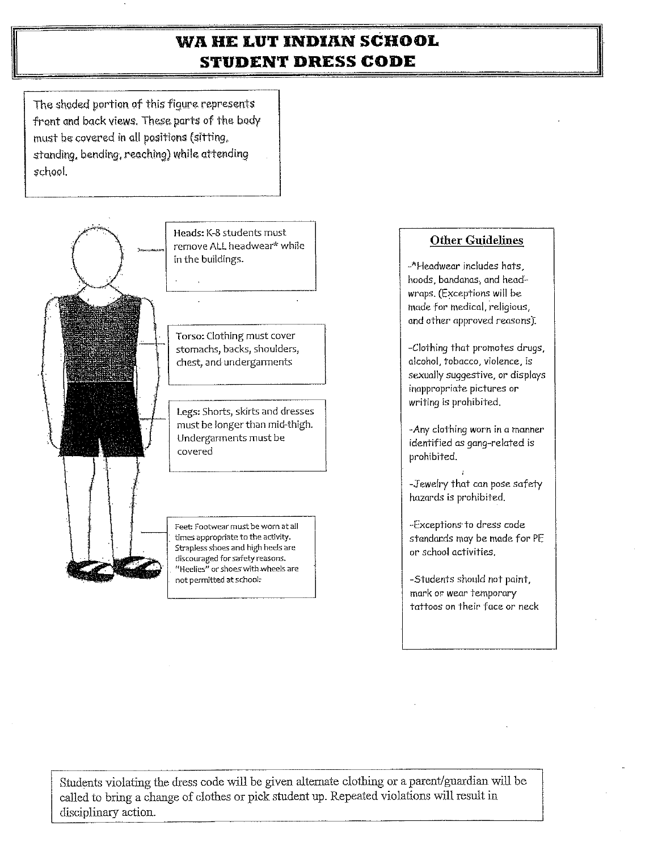## WH HE LUT INDIAN SCHOOL STUDENT DRESS CODE

The shaded portion of this figure represents front and back views. These parts of the body must be covered in all positions (sitting, standing, bending, reaching) while attending school



## Other Guidelines

-\*Headwear includes hats, hoods, bandanas, and headwraps. (Exceptions will be made for medical, religious, and other approved reasons).

-Clothing that promotes drugs, aicohol, tobacco, violence, is sexually suggestive, or displays inappropriate pictures or writing is prohibited.

-Any ciathing worn in a rnanner identified as gang-related is prohibited.

-Jeweiry that can pose safety hazards is prohibited.

-Exceptions to dress code standards may be made for PE or schooj activities.

-Students should not paint, mark op wear temporary tattoos on their face or neck

Students violating the dress code will be given alternate clothing or a parent/guardian will be called to bring a change of clothes or pick student up. Repeated violations will result in disciplinary action.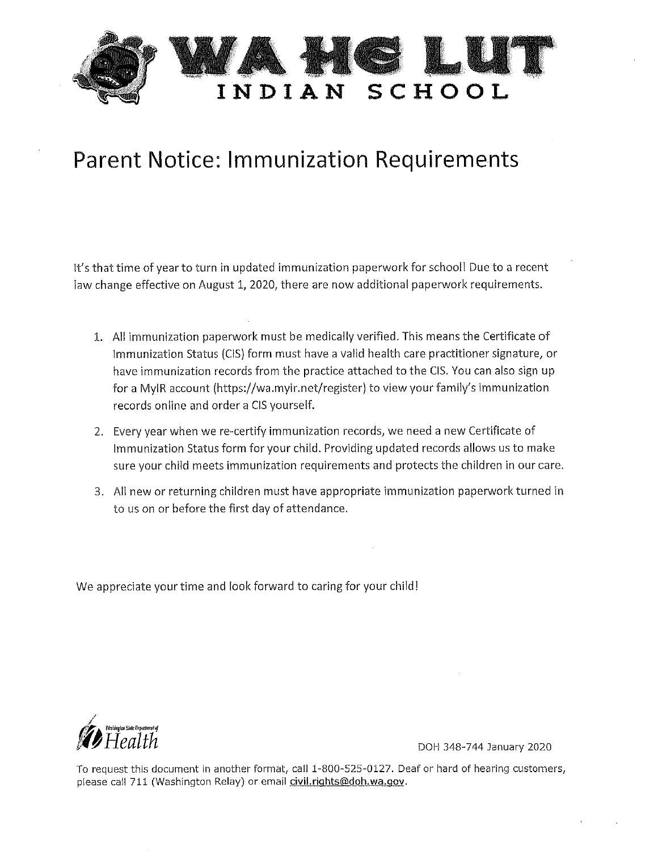

# **Parent Notice: Immunization Requirements**

It's that time of year to turn in updated immunization paperwork for school! Due to a recent law change effective on August 1, 2020, there are now additional paperwork requirements.

- 1. At! immunization paperwork must be medically verified. This means the Certificate of Immunization Status (CIS) form must have a valid health care practitioner signature, or have immunization records from the practice attached to the CIS. You can also sign up for a MyiR account (https://wa.myir.net/register) to view your family's immunization records online and order a CIS yourself.
- 2. Every year when we re-certify immunization records, we need a new Certificate of Immunization Status form for your child. Providing updated records allows us to make sure your child meets immunization requirements and protects the children in our care.
- 3. Alt new or returning children must have appropriate immunization paperwork turned in to us on or before the first day of attendance.

We appreciate your time and look forward to caring for your child!



DOH 348-744 January 2020

To request this document in another format, call 1-800-525-0127. Deaf or hard of hearing customers, please call 711 (Washington Relay) or email civil.rights@doh.wa.gov.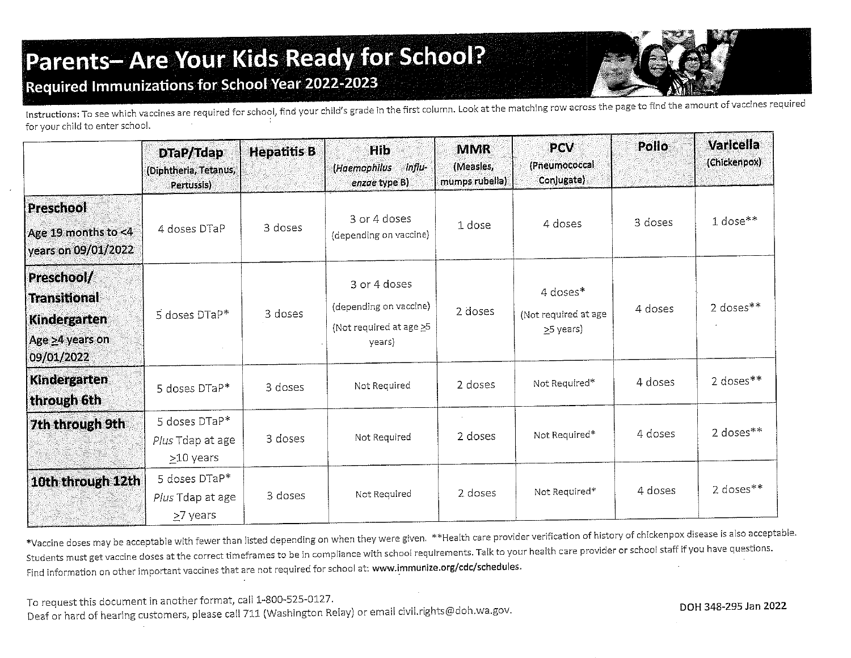# Parents-Are Your Kids Ready for School?



# Required Immunizations for School Year 2022-2023

 $\text{I}$ structions: To see which vaccines are required for school, find  $\mathcal{Y}$  grade in the amount of vaccines required for school, find  $\mathcal{Y}$  grade to find the amount of vaccines required for vaccines required for va for your child to enter school.

|                                                                                             | DTaP/Tdap<br>(Diphtheria, Tetanus,<br>Pertussis)     | <b>Hepatitis B</b> | Hib<br>influ-<br>(Haemophilus<br>enzae type B)                                    | <b>MMR</b><br>(Measles,<br>mumps rubella) | PCV<br>(Pneumococcal<br>Conjugate)                  | Polio   | Varicella<br>(Chickenpox) |
|---------------------------------------------------------------------------------------------|------------------------------------------------------|--------------------|-----------------------------------------------------------------------------------|-------------------------------------------|-----------------------------------------------------|---------|---------------------------|
| Preschool<br>$ Age 19$ months to <4<br>years on 09/01/2022                                  | 4 doses DTaP                                         | 3 doses            | 3 or 4 doses<br>(depending on vaccine)                                            | 1 dose                                    | 4 doses                                             | 3 doses | $1$ dose $**$             |
| Preschool/<br><b>Transitional</b><br><b>Kindergarten</b><br>l Age ≥4 years on<br>09/01/2022 | $5$ doses $DTaP*$                                    | 3 doses            | 3 or 4 doses<br>(depending on vaccine)<br>(Not required at age $\geq 5$<br>years) | 2 doses                                   | 4 doses*<br>(Not required at age<br>$\geq$ 5 years) | 4 doses | 2 doses $**$              |
| <b>Kindergarten</b><br>through 6th                                                          | 5 doses DTaP*                                        | 3 doses            | Not Required                                                                      | 2 doses                                   | Not Required*                                       | 4 doses | $2$ doses**               |
| 7th through 9th                                                                             | 5 doses DTaP*<br>Plus Tdap at age<br>$\geq$ 10 years | 3 doses            | Not Required                                                                      | 2 doses                                   | Not Required*                                       | 4 doses | 2 doses**                 |
| 10th through 12th                                                                           | 5 doses DTaP*<br>Plus Tdap at age<br>$\geq$ 7 years  | 3 doses            | Not Required                                                                      | 2 doses                                   | Not Required*                                       | 4 doses | 2 doses $**$              |

\*Vaccine doses may be acceptabie with fewer than listed depending on when they were given. \*\*HeaIth care provider verification of history of chickenpox disease is also acceptable.Students must get vaccine doses at the correct timeframes to be in compliance with school requirements. Talk to your health care provider or school staff if you have questions. Find information on other important vaccines that are not required for school at: www.immunize.org/cdc/scheduies.

To request this document in another format, can 1-800-525-011.<br>Deaf or hard of hearing customers, please call 711 (Washington Relay) or email civil.rights@doh.wa.gov

DOH 348-295 Jan 2022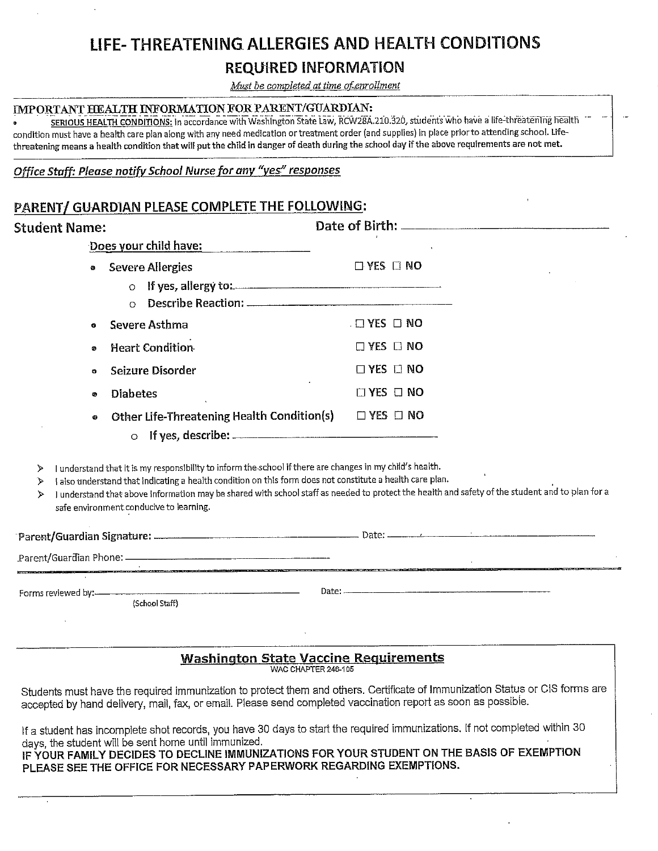## LIFE-THREATENING ALLERGIES AND HEALTH CONDITIONS

## REQUIRED INFORMATION

Must be completed at time of enrollment

### IMPORTANT HEALTH INFORMATION FOR PARENT/GUARDIAN:

SERIOUS HEALTH CONDITIONS: in accordance with Washington State Law, RCW28A.210.320, students who have a life-threatening health condition must have a health care plan along with any need medication or treatment order (and supplies) in place prior to attending school. Lifethreatening means a health condition that will put the child in danger of death during the school day if the above requirements are not met.

## Office Staff: Please notify School Nurse for any "yes" responses

## PARENT/ GUARDIAN PLEASE COMPLETE THE FOLLOWING:

| Student Name: |                                                                                                                                                                                                                                                                   |                                                                                                                                                 |
|---------------|-------------------------------------------------------------------------------------------------------------------------------------------------------------------------------------------------------------------------------------------------------------------|-------------------------------------------------------------------------------------------------------------------------------------------------|
|               | Does your child have:                                                                                                                                                                                                                                             |                                                                                                                                                 |
| ø             | <b>Severe Allergies</b>                                                                                                                                                                                                                                           | $\Box$ YES $\Box$ NO                                                                                                                            |
|               | If yes, allergy to: <b>contract the contract of yes</b> , allergy to:<br>$\Omega$<br>$\Omega$                                                                                                                                                                     |                                                                                                                                                 |
| $\bullet$     | Severe Asthma                                                                                                                                                                                                                                                     | $\Box$ YES $\Box$ NO                                                                                                                            |
| e             | <b>Heart Condition</b>                                                                                                                                                                                                                                            | $\Box$ YES $\Box$ NO                                                                                                                            |
| $\bullet$     | Seizure Disorder                                                                                                                                                                                                                                                  | $\Box$ YES $\Box$ NO                                                                                                                            |
| e             | <b>Diabetes</b>                                                                                                                                                                                                                                                   | $\Box$ YES $\Box$ NO                                                                                                                            |
| G             | Other Life-Threatening Health Condition(s) $\Box$ YES $\Box$ NO                                                                                                                                                                                                   |                                                                                                                                                 |
|               | $\circ$                                                                                                                                                                                                                                                           |                                                                                                                                                 |
| マ<br>⋗<br>⋗   | I understand that it is my responsibility to inform the school if there are changes in my child's health.<br>I also understand that indicating a health condition on this form does not constitute a health care plan.<br>safe environment conducive to learning. | I understand that above information may be shared with school staff as needed to protect the health and safety of the student and to plan for a |
|               |                                                                                                                                                                                                                                                                   |                                                                                                                                                 |
|               |                                                                                                                                                                                                                                                                   |                                                                                                                                                 |
|               | (School Staff)                                                                                                                                                                                                                                                    |                                                                                                                                                 |
|               |                                                                                                                                                                                                                                                                   |                                                                                                                                                 |
|               |                                                                                                                                                                                                                                                                   |                                                                                                                                                 |

Students must have the required immunization to protect them and others. Certificate of immunization Status or CIS forms are accepted by hand delivery, mail, fax, or email. Please send completed vaccination report as soon as possible.

if a student has incomplete shot records, you have 30 days to start the required immunizations. If not completed within 30 days, the student will be sent home until immumzed.

IF YOUR FAMILY DECIDES TO DECLINE IMMUNIZATIONS FOR YOUR STUDENT ON THE BASIS OF EXEMPTION PLEASE SEE THE OFFICE FOR NECESSARY PAPERWORK REGARDING EXEMPTIONS.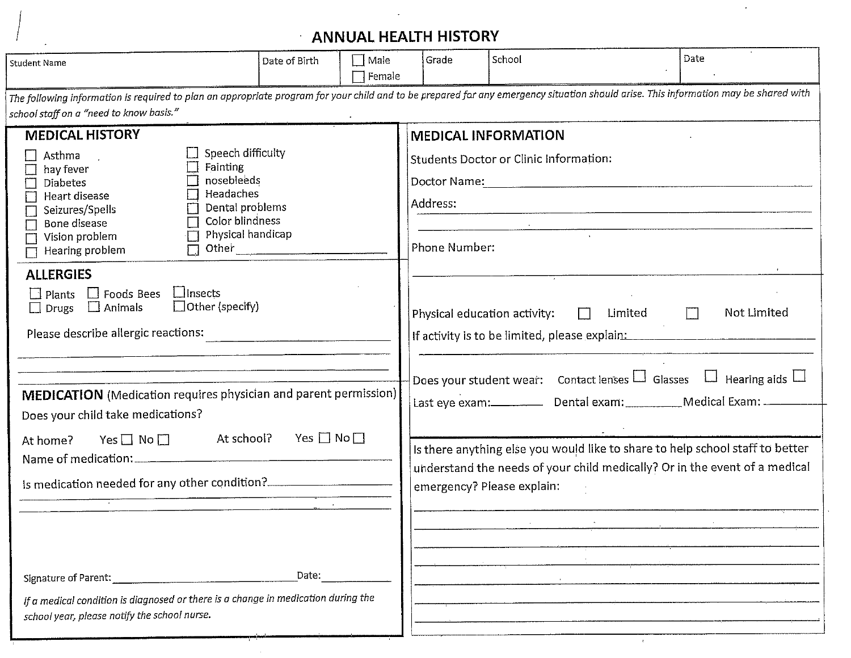## **ANNUAL HEALTH HISTORY**

| Student Name                                                                                                                                                                                                                                                                                         | Date of Birth              | Male<br>Female | Grade                     | School                                                                                                                                                                                 | Date                                                                                                                                                                                                                           |
|------------------------------------------------------------------------------------------------------------------------------------------------------------------------------------------------------------------------------------------------------------------------------------------------------|----------------------------|----------------|---------------------------|----------------------------------------------------------------------------------------------------------------------------------------------------------------------------------------|--------------------------------------------------------------------------------------------------------------------------------------------------------------------------------------------------------------------------------|
| The following information is required to plan an appropriate program for your child and to be prepared for any emergency situation shauld arise. This information may be shared with<br>school staff on a "need to know basis."                                                                      |                            |                |                           |                                                                                                                                                                                        |                                                                                                                                                                                                                                |
| <b>MEDICAL HISTORY</b><br>Speech difficulty<br>Asthma<br>Fainting<br>hay fever<br>nosebleeds<br><b>Diabetes</b><br>Headaches<br>Heart disease<br>Dental problems<br>Seizures/Spells<br>Color blindness<br>Bone disease<br>Physical handicap<br>Vision problem<br>Hearing problem<br><b>ALLERGIES</b> |                            |                | Address:<br>Phone Number: | <b>MEDICAL INFORMATION</b><br>Students Doctor or Clinic Information:<br>Doctor Name: Manual Manual Manual Manual Manual Manual Manual Manual Manual Manual Manual Manual Manual Manual | and the contract of the contract of the contract of the contract of the contract of the contract of the contract of the contract of the contract of the contract of the contract of the contract of the contract of the contra |
| $\Box$ Insects<br>$\Box$ Foods Bees<br>$\Box$ Plants<br>$\Box$ Other (specify)<br>$\Box$ Animals<br><b>Drugs</b><br>Please describe allergic reactions:                                                                                                                                              |                            |                |                           | Physical education activity: $\Box$ Limited                                                                                                                                            | Not Limited<br>$\Box$<br>If activity is to be limited, please explain: [11] If activity is to be limited, please explain:<br>Does your student wear: Contact lenses LJ Glasses LJ Hearing aids LJ                              |
| MEDICATION (Medication requires physician and parent permission)<br>Does your child take medications?                                                                                                                                                                                                |                            |                |                           |                                                                                                                                                                                        | Last eye exam: _____________ Dental exam: ____________ Medical Exam: _______                                                                                                                                                   |
| At school?<br>Yes $\square$ No $\square$<br>At home?<br>Is medication needed for any other condition?                                                                                                                                                                                                | Yes $\square$ No $\square$ |                |                           | emergency? Please explain:                                                                                                                                                             | Is there anything else you would like to share to help school staff to better<br>understand the needs of your child medically? Or in the event of a medical                                                                    |
| Signature of Parent:<br>If a medical condition is diagnosed or there is a change in medication during the<br>school year, please notify the school nurse.                                                                                                                                            | Date:                      |                |                           |                                                                                                                                                                                        |                                                                                                                                                                                                                                |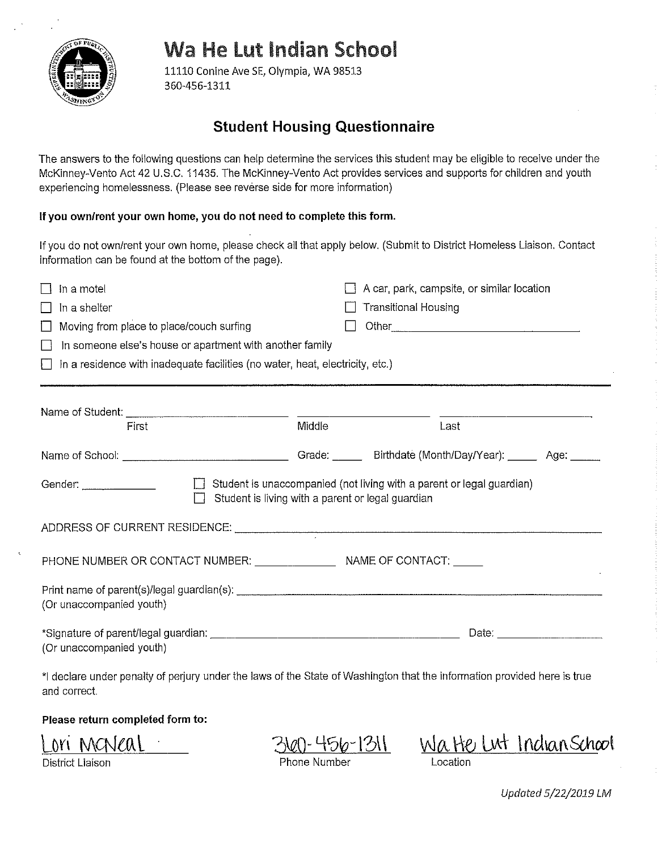

# Wa He Lut Indian School

11110 Conine Ave SE, Olympia, WA 98513 360-456-1311

## Student Housing Questionnaire

The answers to the foilowing questions can help determine the services this student may be eligible to receive under the McKinney-Vento Act 42 U.S.C, 11435. The McKinney-Vento Act provides services and supports for children and youth experiencing homelessness. (Please see reverse side for more information)

### If you own/rent your own home, you do not need to complete this form.

If you do not own/rent your own home, please check all that apply below. (Submit to District Homeless Liaison. Contact information can be found at the bottom of the page).

| In a motel<br>$\vert \ \vert$                                                             |                             | A car, park, campsite, or similar location                            |  |  |
|-------------------------------------------------------------------------------------------|-----------------------------|-----------------------------------------------------------------------|--|--|
| In a shelter                                                                              | <b>Transitional Housing</b> |                                                                       |  |  |
| Moving from place to place/couch surfing<br>11                                            |                             |                                                                       |  |  |
| In someone else's house or apartment with another family<br>$\vert \ \ \vert$             |                             |                                                                       |  |  |
| In a residence with inadequate facilities (no water, heat, electricity, etc.)<br>$\vdash$ |                             |                                                                       |  |  |
|                                                                                           |                             |                                                                       |  |  |
| First                                                                                     | Middle                      | Last                                                                  |  |  |
|                                                                                           |                             |                                                                       |  |  |
| Gender: ______________<br>Student is living with a parent or legal guardian               |                             | Student is unaccompanied (not living with a parent or legal guardian) |  |  |
|                                                                                           |                             |                                                                       |  |  |
|                                                                                           |                             |                                                                       |  |  |
| (Or unaccompanied youth)                                                                  |                             |                                                                       |  |  |
|                                                                                           |                             | Date: Date:                                                           |  |  |
| (Or unaccompanied youth)                                                                  |                             |                                                                       |  |  |

\*1 declare under penalty of perjury under the laws of the State of Washington that the information provided here is true and correct.

### Please return completed form to:

<u>LUI IVICTURE</u><br>District Liaison Phone Number Location Location

Un IWJM • ?M)-4(^rl%U \Al^tol^ lr\diar\S6ha?l

Updated 5/22/2019 LM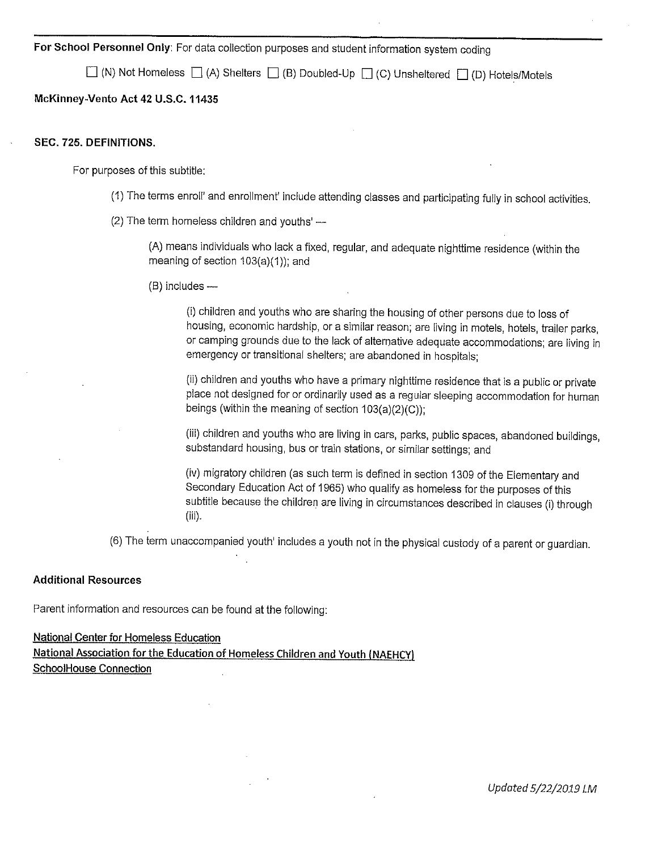For School Personnel Only: For data collection purposes and student information system coding

 $\Box$  (N) Not Homeless  $\Box$  (A) Shelters  $\Box$  (B) Doubled-Up  $\Box$  (C) Unsheltered  $\Box$  (D) Hotels/Motels

#### McKinney-Vento Act 42 U.S.C. 11435

#### SEC. 725. DEFINITIONS.

For purposes of this subtitle:

- (1) The terms enroll' and enrollment' inciude attending classes and participating fully in school activities.
- (2) The term homeless chiidren and youths'

(A) means individuals who lack a fixed, regular, and adequate nighttime residence (within the meaning of section 103(a)(1)); and

(B) includes

(i) children and youths who are sharing the housing of other persons due to loss of housing, economic hardship, or a similar reason; are living in motels, hotels, trailer parks, or camping grounds due to the lack of alternative adequate accommodations; are iiving in emergency or transitional shelters; are abandoned in hospitals;

(ii) children and youths who have a primary nighttime residence that is a public or private piace not designed for or ordinarily used as a regular sleeping accommodation for human beings (within the meaning of section 103(a)(2)(C));

(iii) children and youths who are living in cars, parks, public spaces, abandoned buildings, substandard housing, bus or train stations, or similar settings; and

(iv) migratory children (as such term is defined in section 1309 of the Elementary and Secondary Education Act of 1965) who qualify as homeiess for the purposes of this subtitle because the children are living in circumstances described in clauses (i) through  $(iii)$ .

(6) The term unaccompanied youth' includes a youth not in the physical custody of a parent or guardian.

#### Additional Resources

Parent information and resources can be found at the following:

#### National Center for Homeless Education

National Association for the Education of Homeless Children and Youth (NAEHCY) SchoolHouse Connection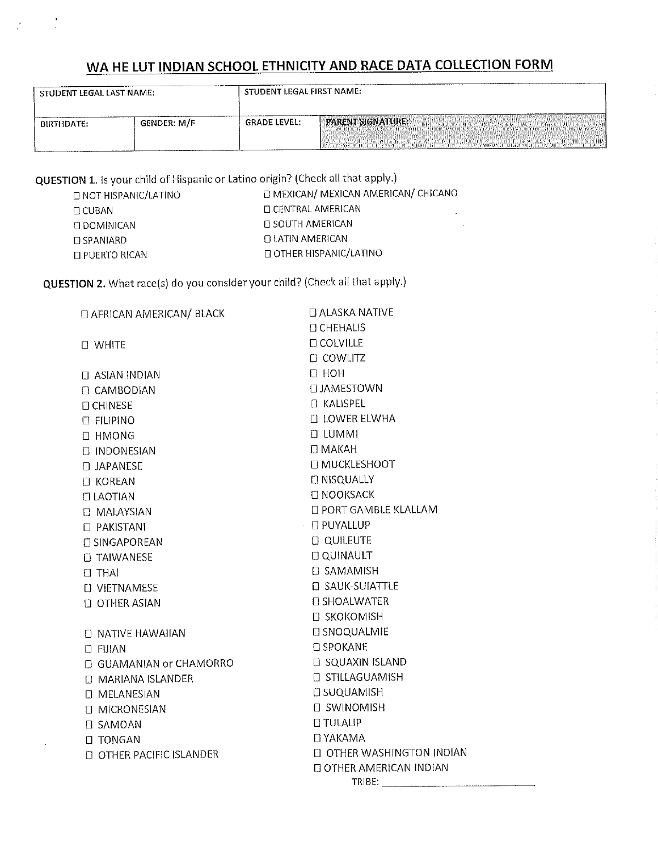## WA HE LUT INDIAN SCHOOL ETHNICITY AND RACE DATA COLLECTION FORM

| STUDENT LEGAL LAST NAME: |             | STUDENT LEGAL FIRST NAME: |                          |
|--------------------------|-------------|---------------------------|--------------------------|
| <b>BIRTHDATE:</b>        | GENDER: M/F | GRADE LEVEL.              | <b>PARENT SIGNATURE:</b> |

QUESTION 1. Is your child of Hispanic or Latino origin? (Check all that apply.)

 $\frac{1}{\sqrt{2}}$ 

 $\bar{z}$ 

 $\mathcal{I}$ 

| <b>DIMEXICAN/ MEXICAN AMERICAN/ CHICANO</b> |
|---------------------------------------------|
|                                             |
|                                             |
|                                             |
|                                             |
|                                             |

QUESTION 2. What race(s) do you consider your child? (Check all that apply.)

| <b>DAFRICAN AMERICAN/ BLACK</b>  | <b>DALASKA NATIVE</b>            |  |  |  |
|----------------------------------|----------------------------------|--|--|--|
|                                  | <b>D</b> CHEHALIS                |  |  |  |
| $\Box$ WHITE                     | <b>D COLVILLE</b>                |  |  |  |
|                                  | □ COWLITZ                        |  |  |  |
| $\Box$ ASIAN INDIAN              | $\Box$ HOH                       |  |  |  |
| □ CAMBODIAN                      | □ JAMESTOWN                      |  |  |  |
| □ CHINESE                        | □ KALISPEL                       |  |  |  |
| $\Box$ FILIPINO                  | <b>D LOWER ELWHA</b>             |  |  |  |
| □ HMONG                          | <b>D LUMMI</b>                   |  |  |  |
| <b>II INDONESIAN</b>             | □ МАКАН                          |  |  |  |
| <b>N</b> IAPANESE                | <b>D MUCKLESHOOT</b>             |  |  |  |
| □ KOREAN                         | <b>DINISQUALLY</b>               |  |  |  |
| <b>DLAOTIAN</b>                  | <b>D NOOKSACK</b>                |  |  |  |
| <b>T MALAYSIAN</b>               | <b>EL PORT GAMBLE KLALLAM</b>    |  |  |  |
| □ PAKISTANI                      | <b>O PUYALLUP</b>                |  |  |  |
| <b>CISINGAPOREAN</b>             | <b>D QUILEUTE</b>                |  |  |  |
| <b>D TAIWANESE</b>               | <b>D QUINAULT</b>                |  |  |  |
| $\Box$ THAI                      | □ SAMAMISH                       |  |  |  |
| <b>D VIETNAMESE</b>              | <b>D SAUK-SUIATTLE</b>           |  |  |  |
| <b>C OTHER ASIAN</b>             | □ SHOALWATER                     |  |  |  |
|                                  | □ SKOKOMISH                      |  |  |  |
| <b>D NATIVE HAWAIIAN</b>         | □ SNOQUALMIE                     |  |  |  |
| $\Box$ FIJIAN                    | <b>O SPOKANE</b>                 |  |  |  |
| <b>D. GUAMANIAN or CHAMORRO</b>  | <b>D SQUAXIN ISLAND</b>          |  |  |  |
| <b>D MARIANA ISLANDER</b>        | <b>CI STILLAGUAMISH</b>          |  |  |  |
| <b>D MELANESIAN</b>              | <b>D SUQUAMISH</b>               |  |  |  |
| <b>FL MICRONESIAN</b>            | □ SWINOMISH                      |  |  |  |
| □ SAMOAN                         | <b>CTULALIP</b>                  |  |  |  |
| <b>O TONGAN</b>                  | <b>DYAKAMA</b>                   |  |  |  |
| <b>LE OTHER PACIFIC ISLANDER</b> | <b>D OTHER WASHINGTON INDIAN</b> |  |  |  |
|                                  | <b>DOTHER AMERICAN INDIAN</b>    |  |  |  |
|                                  | TRIBE:                           |  |  |  |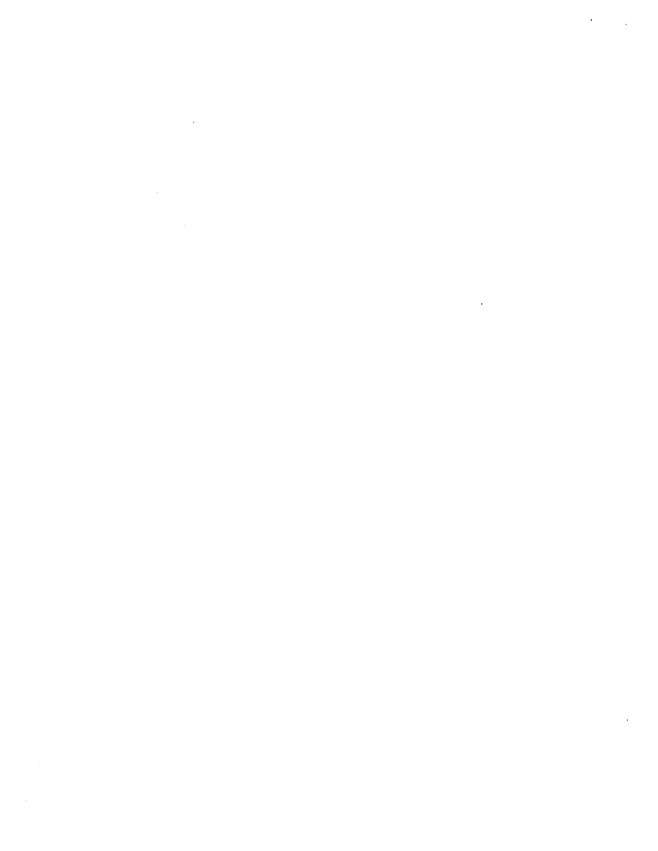$\mathcal{L}^{\text{max}}_{\text{max}}$  and  $\mathcal{L}^{\text{max}}_{\text{max}}$ 

 $\label{eq:2.1} \frac{1}{2} \sum_{i=1}^n \frac{1}{2} \sum_{j=1}^n \frac{1}{2} \sum_{j=1}^n \frac{1}{2} \sum_{j=1}^n \frac{1}{2} \sum_{j=1}^n \frac{1}{2} \sum_{j=1}^n \frac{1}{2} \sum_{j=1}^n \frac{1}{2} \sum_{j=1}^n \frac{1}{2} \sum_{j=1}^n \frac{1}{2} \sum_{j=1}^n \frac{1}{2} \sum_{j=1}^n \frac{1}{2} \sum_{j=1}^n \frac{1}{2} \sum_{j=1}^n \frac{$ 

 $\label{eq:2.1} \frac{1}{\sqrt{2}}\left(\frac{1}{\sqrt{2}}\right)^{2} \left(\frac{1}{\sqrt{2}}\right)^{2} \left(\frac{1}{\sqrt{2}}\right)^{2} \left(\frac{1}{\sqrt{2}}\right)^{2} \left(\frac{1}{\sqrt{2}}\right)^{2} \left(\frac{1}{\sqrt{2}}\right)^{2} \left(\frac{1}{\sqrt{2}}\right)^{2} \left(\frac{1}{\sqrt{2}}\right)^{2} \left(\frac{1}{\sqrt{2}}\right)^{2} \left(\frac{1}{\sqrt{2}}\right)^{2} \left(\frac{1}{\sqrt{2}}\right)^{2} \left(\$  $\label{eq:2.1} \frac{1}{\sqrt{2}}\int_{\mathbb{R}^3}\frac{1}{\sqrt{2}}\left(\frac{1}{\sqrt{2}}\int_{\mathbb{R}^3}\frac{1}{\sqrt{2}}\left(\frac{1}{\sqrt{2}}\int_{\mathbb{R}^3}\frac{1}{\sqrt{2}}\right)\frac{1}{\sqrt{2}}\right)\frac{1}{\sqrt{2}}\,d\mu$ 

 $\mathcal{L}^{\text{max}}_{\text{max}}$  and  $\mathcal{L}^{\text{max}}_{\text{max}}$ 

 $\mathcal{L}_{\text{max}}$  .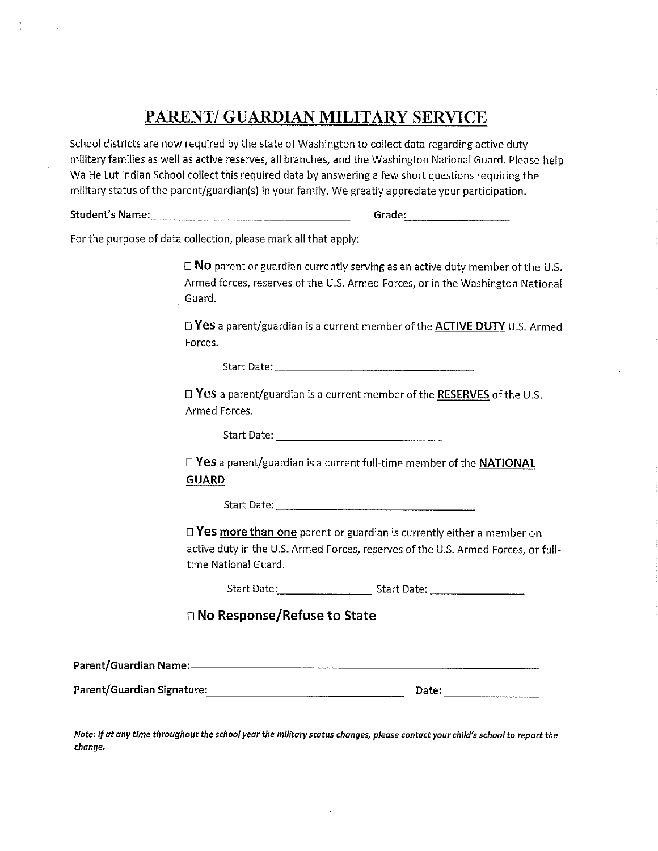## PARENT/ GUARDIAN MILITARY SERVICE

School districts are now required by the state of Washington to collect data regarding active duty military families as well as active reserves, ail branches, and the Washington National Guard. Please help Wa He Lut Indian School collect this required data by answering a few short questions requiring the military status of the parent/guardian(s) inyourfamily.Wegreatly appreciate your participation.

Student's Name: Student's Name: Student's Name: Student's Name: Student's Name: Student's Name: Student's Name: Student's Name: Student's Name: Student's Name: Student's Name: Student's Name: Student's Name: Student's Name

'For the purpose of data collection, piease mark all that apply;

 $\Box$  No parent or guardian currently serving as an active duty member of the U.S. Armed forces, reserves of the U.S. Armed Forces, or in the Washington National Guard.

 $\square$  Yes a parent/guardian is a current member of the ACTIVE DUTY U.S. Armed Forces.

Start Date:.

 $\Box$  Yes a parent/guardian is a current member of the RESERVES of the U.S. Armed Forces.

Start Date: <u>experimental</u> control of the state of the state of the state of the state of the state of the state of the state of the state of the state of the state of the state of the state of the state of the state of th

 $\Box$  Yes a parent/guardian is a current full-time member of the NATIONAL GUARD

Start Date:

 $\Box$  Yes more than one parent or guardian is currently either a member on active duty in the U.S. Armed Forces, reserves of the U.S. Armed Forces, or fulltime National Guard.

Start Date: Start Date: Start Date: Start Date:

### a No Response/Refuse to State

Parent/Guardian Name:-

Parent/Guardian Signature: Date: Date: Date:

Note: If at any time throughout the school year the military status changes, please contact your child's school to report the change.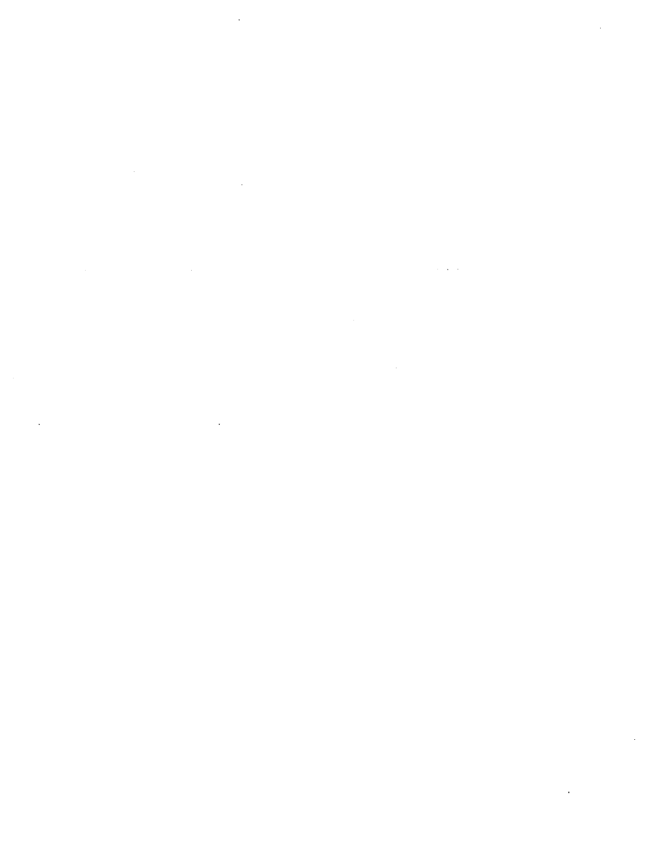$\label{eq:2.1} \frac{1}{\sqrt{2}}\int_{0}^{\infty}\frac{1}{\sqrt{2\pi}}\left(\frac{1}{\sqrt{2}}\right)^{2}d\mu\left(\frac{1}{\sqrt{2}}\right)dx$ 

 $\mathcal{L}^{\text{max}}_{\text{max}}$ 

 $\mathcal{L}^{\mathcal{L}}(\mathcal{L}^{\mathcal{L}})$  and  $\mathcal{L}^{\mathcal{L}}(\mathcal{L}^{\mathcal{L}})$  and  $\mathcal{L}^{\mathcal{L}}(\mathcal{L}^{\mathcal{L}})$ 

 $\label{eq:2} \frac{1}{\sqrt{2}}\left(\frac{1}{\sqrt{2}}\right)^{2} \left(\frac{1}{\sqrt{2}}\right)^{2} \left(\frac{1}{\sqrt{2}}\right)^{2}$ 

 $\label{eq:2.1} \frac{1}{\sqrt{2}}\int_{\mathbb{R}^3}\frac{1}{\sqrt{2}}\left(\frac{1}{\sqrt{2}}\right)^2\left(\frac{1}{\sqrt{2}}\right)^2\left(\frac{1}{\sqrt{2}}\right)^2\left(\frac{1}{\sqrt{2}}\right)^2\left(\frac{1}{\sqrt{2}}\right)^2.$ 

 $\label{eq:2.1} \frac{1}{\sqrt{2}}\int_{\mathbb{R}^3}\frac{1}{\sqrt{2}}\left(\frac{1}{\sqrt{2}}\right)^2\frac{1}{\sqrt{2}}\left(\frac{1}{\sqrt{2}}\right)^2\frac{1}{\sqrt{2}}\left(\frac{1}{\sqrt{2}}\right)^2\frac{1}{\sqrt{2}}\left(\frac{1}{\sqrt{2}}\right)^2.$  $\mathcal{L}(\mathcal{L})$  and  $\mathcal{L}(\mathcal{L})$  . In the set of  $\mathcal{L}(\mathcal{L})$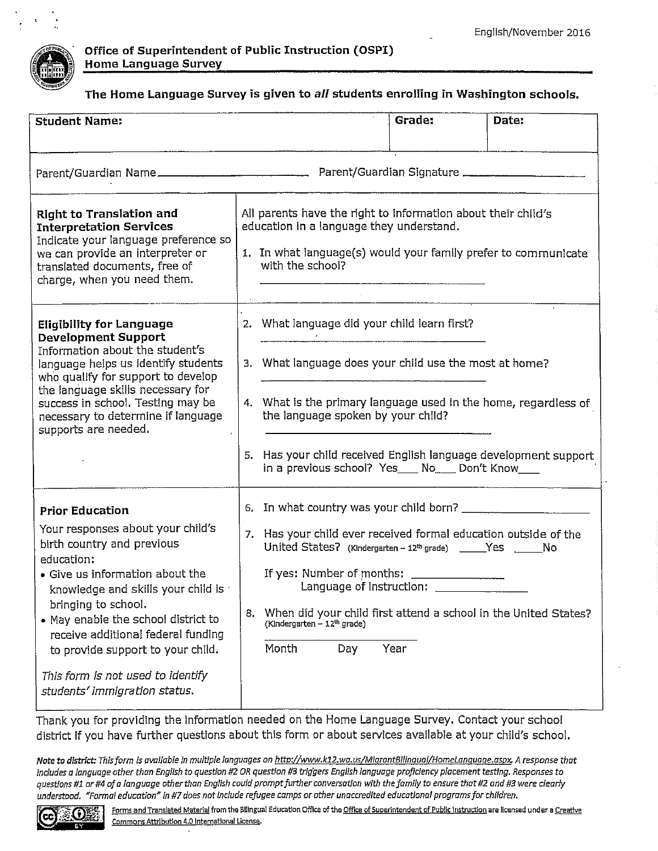

## Office of Superintendent of Public Instruction (OSPI) Home Language Survey

## The Home Language Survey is given to all students enrolling in Washington schools,

| <b>Student Name:</b>                                                                                                                                                                                                                                                                                                  |                                                                                                                                                                                                                                                                                                                          | Grade:                                                                                                                              | Date: |    |
|-----------------------------------------------------------------------------------------------------------------------------------------------------------------------------------------------------------------------------------------------------------------------------------------------------------------------|--------------------------------------------------------------------------------------------------------------------------------------------------------------------------------------------------------------------------------------------------------------------------------------------------------------------------|-------------------------------------------------------------------------------------------------------------------------------------|-------|----|
|                                                                                                                                                                                                                                                                                                                       |                                                                                                                                                                                                                                                                                                                          |                                                                                                                                     |       |    |
|                                                                                                                                                                                                                                                                                                                       |                                                                                                                                                                                                                                                                                                                          |                                                                                                                                     |       |    |
| Right to Translation and<br><b>Interpretation Services</b><br>Indicate your language preference so<br>we can provide an interpreter or<br>translated documents, free of<br>charge, when you need them.                                                                                                                | All parents have the right to information about their child's<br>education in a language they understand.<br>1. In what language(s) would your family prefer to communicate<br>with the school?<br><u> 1980 - Jan Sterlân yn Sterlân ûntstied ûntstied fan de Afrikaanske komme fan de Afrikaanske komme fan de Afri</u> |                                                                                                                                     |       |    |
| <b>Eligibility for Language</b><br><b>Development Support</b><br>Information about the student's<br>language helps us identify students<br>who qualify for support to develop<br>the language skills necessary for<br>success in school. Testing may be<br>necessary to determine if language<br>supports are needed. |                                                                                                                                                                                                                                                                                                                          | 2. What language did your child learn first?                                                                                        |       |    |
|                                                                                                                                                                                                                                                                                                                       |                                                                                                                                                                                                                                                                                                                          | 3. What language does your child use the most at home?                                                                              |       |    |
|                                                                                                                                                                                                                                                                                                                       |                                                                                                                                                                                                                                                                                                                          | 4. What is the primary language used in the home, regardless of<br>the language spoken by your child?                               |       |    |
|                                                                                                                                                                                                                                                                                                                       |                                                                                                                                                                                                                                                                                                                          | 5. Has your child received English language development support<br>in a previous school? Yes____ No____ Don't Know____              |       |    |
| <b>Prior Education</b>                                                                                                                                                                                                                                                                                                |                                                                                                                                                                                                                                                                                                                          |                                                                                                                                     |       |    |
| Your responses about your child's<br>birth country and previous<br>education:<br>• Give us information about the<br>knowledge and skills your child is :<br>bringing to school.<br>• May enable the school district to<br>receive additional federal funding                                                          |                                                                                                                                                                                                                                                                                                                          | 7. Has your child ever received formal education outside of the<br>United States? (Kindergarten – 12 <sup>th</sup> grade) ______Yes |       | No |
|                                                                                                                                                                                                                                                                                                                       |                                                                                                                                                                                                                                                                                                                          | If yes: Number of months: ________<br>Language of instruction:                                                                      |       |    |
|                                                                                                                                                                                                                                                                                                                       | 8.                                                                                                                                                                                                                                                                                                                       | When did your child first attend a school in the United States?<br>(Kindergarten - 12 <sup>th</sup> grade)                          |       |    |
| to provide support to your child.<br>This form is not used to identify<br>students' immigration status.                                                                                                                                                                                                               |                                                                                                                                                                                                                                                                                                                          | Month<br>Day                                                                                                                        | Year  |    |

Thank you for providing the information needed on the Home Language Survey. Contact your school district if you have further questions about this form or about services available at your child's school.

Note to district: This form is available in multiple languages on http://www.k12.wa.us/MiarantBilinqual/HomeLanguage.aspx. A response that includes a language other than English to question #2 OR question #3 triggers English language proficiency placement testing. Responses to questions #1 or #4 of a language other than English could prompt further conversation with the family to ensure that #2 and #3 were clearly understood. "Formal education" in #7 does not include refugee camps or other unaccredited educational programs for children.